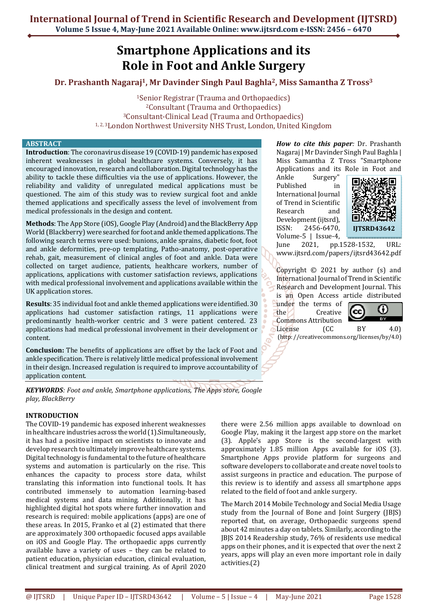# **Smartphone Applications and its Role in Foot and Ankle Surgery**

# **Dr. Prashanth Nagaraj1, Mr Davinder Singh Paul Baghla2, Miss Samantha Z Tross<sup>3</sup>**

Senior Registrar (Trauma and Orthopaedics) Consultant (Trauma and Orthopaedics) Consultant-Clinical Lead (Trauma and Orthopaedics) 1, 2, 3London Northwest University NHS Trust, London, United Kingdom

#### **ABSTRACT**

**Introduction**: The coronavirus disease 19 (COVID-19) pandemic has exposed inherent weaknesses in global healthcare systems. Conversely, it has encouraged innovation, research and collaboration. Digital technology has the ability to tackle these difficulties via the use of applications. However, the reliability and validity of unregulated medical applications must be questioned. The aim of this study was to review surgical foot and ankle themed applications and specifically assess the level of involvement from medical professionals in the design and content.

**Methods**: The App Store (iOS), Google Play (Android) and the BlackBerry App World (Blackberry) were searched for foot and ankle themed applications. The following search terms were used: bunions, ankle sprains, diabetic foot, foot and ankle deformities, pre-op templating, Patho-anatomy, post-operative rehab, gait, measurement of clinical angles of foot and ankle. Data were collected on target audience, patients, healthcare workers, number of applications, applications with customer satisfaction reviews, applications with medical professional involvement and applications available within the UK application stores.

**Results**: 35 individual foot and ankle themed applications were identified. 30 applications had customer satisfaction ratings, 11 applications were predominantly health-worker centric and 3 were patient centered. 23 applications had medical professional involvement in their development or content.

**Conclusion:** The benefits of applications are offset by the lack of Foot and ankle specification. There is relatively little medical professional involvement in their design. Increased regulation is required to improve accountability of application content.

*KEYWORDS: Foot and ankle, Smartphone applications, The Apps store, Google play, BlackBerry* 

## **INTRODUCTION**

The COVID-19 pandemic has exposed inherent weaknesses in healthcare industries across the world (1).Simultaneously, it has had a positive impact on scientists to innovate and develop research to ultimately improve healthcare systems. Digital technology is fundamental to the future of healthcare systems and automation is particularly on the rise. This enhances the capacity to process store data, whilst translating this information into functional tools. It has contributed immensely to automation learning-based medical systems and data mining. Additionally, it has highlighted digital hot spots where further innovation and research is required: mobile applications (apps) are one of these areas. In 2015, Franko et al (2) estimated that there are approximately 300 orthopaedic focused apps available on iOS and Google Play. The orthopaedic apps currently available have a variety of uses – they can be related to patient education, physician education, clinical evaluation, clinical treatment and surgical training. As of April 2020

*How to cite this paper:* Dr. Prashanth Nagaraj | Mr Davinder Singh Paul Baghla | Miss Samantha Z Tross "Smartphone Applications and its Role in Foot and

Ankle Surgery" Published in International Journal of Trend in Scientific Research and Development (ijtsrd), ISSN: 2456-6470, Volume-5 | Issue-4,



June 2021, pp.1528-1532, URL: www.ijtsrd.com/papers/ijtsrd43642.pdf

Copyright © 2021 by author (s) and International Journal of Trend in Scientific Research and Development Journal. This is an Open Access article distributed

under the terms of the Creative Commons Attribution



License (CC BY 4.0) (http: //creativecommons.org/licenses/by/4.0)

there were 2.56 million apps available to download on Google Play, making it the largest app store on the market (3). Apple's app Store is the second-largest with approximately 1.85 million Apps available for iOS (3). Smartphone Apps provide platform for surgeons and software developers to collaborate and create novel tools to assist surgeons in practice and education. The purpose of this review is to identify and assess all smartphone apps related to the field of foot and ankle surgery.

The March 2014 Mobile Technology and Social Media Usage study from the Journal of Bone and Joint Surgery (JBJS) reported that, on average, Orthopaedic surgeons spend about 42 minutes a day on tablets. Similarly, according to the JBJS 2014 Readership study, 76% of residents use medical apps on their phones, and it is expected that over the next 2 years, apps will play an even more important role in daily activities.(2)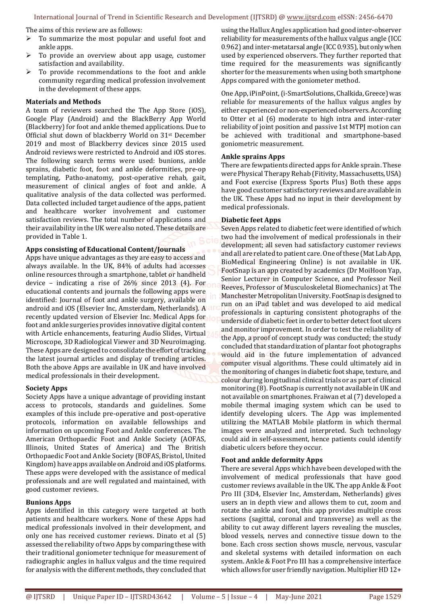#### International Journal of Trend in Scientific Research and Development (IJTSRD) @ www.ijtsrd.com eISSN: 2456-6470

The aims of this review are as follows:

- $\triangleright$  To summarize the most popular and useful foot and ankle apps.
- $\triangleright$  To provide an overview about app usage, customer satisfaction and availability.
- To provide recommendations to the foot and ankle community regarding medical profession involvement in the development of these apps.

#### **Materials and Methods**

A team of reviewers searched the The App Store (iOS), Google Play (Android) and the BlackBerry App World (Blackberry) for foot and ankle themed applications. Due to Official shut down of blackberry World on 31st December 2019 and most of Blackberry devices since 2015 used Android reviews were restricted to Android and iOS stores. The following search terms were used: bunions, ankle sprains, diabetic foot, foot and ankle deformities, pre-op templating, Patho-anatomy, post-operative rehab, gait, measurement of clinical angles of foot and ankle. A qualitative analysis of the data collected was performed. Data collected included target audience of the apps, patient and healthcare worker involvement and customer satisfaction reviews. The total number of applications and their availability in the UK were also noted. These details are provided in Table 1.

#### **Apps consisting of Educational Content/Journals**

Apps have unique advantages as they are easy to access and always available. In the UK, 84% of adults had accesses online resources through a smartphone, tablet or handheld device – indicating a rise of 26% since 2013 (4). For educational contents and journals the following apps were identified: Journal of foot and ankle surgery, available on android and iOS (Elsevier Inc, Amsterdam, Netherlands). A recently updated version of Elsevier Inc. Medical Apps for foot and ankle surgeries provides innovative digital content with Article enhancements, featuring Audio Slides, Virtual Microscope, 3D Radiological Viewer and 3D Neuroimaging. These Apps are designed to consolidate the effort of tracking the latest journal articles and display of trending articles. Both the above Apps are available in UK and have involved medical professionals in their development.

## **Society Apps**

Society Apps have a unique advantage of providing instant access to protocols, standards and guidelines. Some examples of this include pre-operative and post-operative protocols, information on available fellowships and information on upcoming Foot and Ankle conferences. The American Orthopaedic Foot and Ankle Society (AOFAS, Illinois, United States of America) and The British Orthopaedic Foot and Ankle Society (BOFAS, Bristol, United Kingdom) have apps available on Android and iOS platforms. These apps were developed with the assistance of medical professionals and are well regulated and maintained, with good customer reviews.

## **Bunions Apps**

Apps identified in this category were targeted at both patients and healthcare workers. None of these Apps had medical professionals involved in their development, and only one has received customer reviews. Dinato et al (5) assessed the reliability of two Apps by comparing these with their traditional goniometer technique for measurement of radiographic angles in hallux valgus and the time required for analysis with the different methods, they concluded that

using the Hallux Angles application had good inter-observer reliability for measurements of the hallux valgus angle (ICC 0.962) and inter-metatarsal angle (ICC 0.935), but only when used by experienced observers. They further reported that time required for the measurements was significantly shorter for the measurements when using both smartphone Apps compared with the goniometer method.

One App, iPinPoint, (i-SmartSolutions, Chalkida, Greece) was reliable for measurements of the hallux valgus angles by either experienced or non-experienced observers. According to Otter et al (6) moderate to high intra and inter-rater reliability of joint position and passive 1st MTPJ motion can be achieved with traditional and smartphone-based goniometric measurement.

#### **Ankle sprains Apps**

There are fewpatients directed apps for Ankle sprain. These were Physical Therapy Rehab (Fitivity, Massachusetts, USA) and Foot exercise (Express Sports Plus) Both these apps have good customer satisfactory reviews and are available in the UK. These Apps had no input in their development by medical professionals.

#### **Diabetic feet Apps**

Seven Apps related to diabetic feet were identified of which two had the involvement of medical professionals in their development; all seven had satisfactory customer reviews and all are related to patient care. One of these (Mat Lab App, BioMedical Engineering Online) is not available in UK. FootSnap is an app created by academics (Dr MoiHoon Yap, Senior Lecturer in Computer Science, and Professor Neil Reeves, Professor of Musculoskeletal Biomechanics) at The Manchester Metropolitan University. FootSnap is designed to run on an iPad tablet and was developed to aid medical professionals in capturing consistent photographs of the underside of diabetic feet in order to better detect foot ulcers and monitor improvement. In order to test the reliability of the App, a proof of concept study was conducted; the study concluded that standardization of plantar foot photographs would aid in the future implementation of advanced computer visual algorithms. These could ultimately aid in the monitoring of changes in diabetic foot shape, texture, and colour during longitudinal clinical trials or as part of clinical monitoring (8). FootSnap is currently not available in UK and not available on smartphones. Fraiwan et al (7) developed a mobile thermal imaging system which can be used to identify developing ulcers. The App was implemented utilizing the MATLAB Mobile platform in which thermal images were analyzed and interpreted. Such technology could aid in self-assessment, hence patients could identify diabetic ulcers before they occur.

## **Foot and ankle deformity Apps**

There are several Apps which have been developed with the involvement of medical professionals that have good customer reviews available in the UK. The app Ankle & Foot Pro III (3D4, Elsevier Inc, Amsterdam, Netherlands) gives users an in depth view and allows them to cut, zoom and rotate the ankle and foot, this app provides multiple cross sections (sagittal, coronal and transverse) as well as the ability to cut away different layers revealing the muscles, blood vessels, nerves and connective tissue down to the bone. Each cross section shows muscle, nervous, vascular and skeletal systems with detailed information on each system. Ankle & Foot Pro III has a comprehensive interface which allows for user friendly navigation. Multiplier HD 12+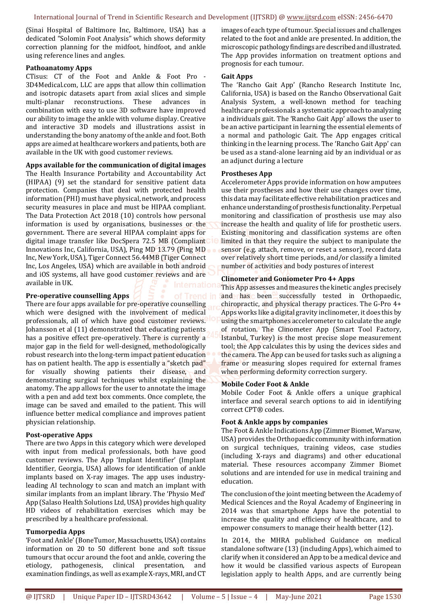(Sinai Hospital of Baltimore Inc, Baltimore, USA) has a dedicated "Solomin Foot Analysis" which shows deformity correction planning for the midfoot, hindfoot, and ankle using reference lines and angles.

## **Pathoanatomy Apps**

CTisus: CT of the Foot and Ankle & Foot Pro - 3D4Medical.com, LLC are apps that allow thin collimation and isotropic datasets apart from axial slices and simple multi-planar reconstructions. These advances in combination with easy to use 3D software have improved our ability to image the ankle with volume display. Creative and interactive 3D models and illustrations assist in understanding the bony anatomy of the ankle and foot. Both apps are aimed at healthcare workers and patients, both are available in the UK with good customer reviews.

## **Apps available for the communication of digital images**

The Health Insurance Portability and Accountability Act (HIPAA) (9) set the standard for sensitive patient data protection. Companies that deal with protected health information (PHI) must have physical, network, and process security measures in place and must be HIPAA compliant. The Data Protection Act 2018 (10) controls how personal information is used by organisations, businesses or the government. There are several HIPAA complaint apps for digital image transfer like DocSpera 72.5 MB (Compliant Innovations Inc, California, USA), Ping MD 13.79 (Ping MD Inc, New York, USA), Tiger Connect 56.44MB (Tiger Connect Inc, Los Angeles, USA) which are available in both android and iOS systems, all have good customer reviews and are available in UK.

## **Pre-operative counselling Apps**

There are four apps available for pre-operative counselling which were designed with the involvement of medical professionals, all of which have good customer reviews. Johansson et al (11) demonstrated that educating patients has a positive effect pre-operatively. There is currently a major gap in the field for well-designed, methodologically robust research into the long-term impact patient education has on patient health. The app is essentially a "sketch pad" for visually showing patients their disease, and demonstrating surgical techniques whilst explaining the anatomy. The app allows for the user to annotate the image with a pen and add text box comments. Once complete, the image can be saved and emailed to the patient. This will influence better medical compliance and improves patient physician relationship.

## **Post-operative Apps**

There are two Apps in this category which were developed with input from medical professionals, both have good customer reviews. The App 'Implant Identifier' (Implant Identifier, Georgia, USA) allows for identification of ankle implants based on X-ray images. The app uses industryleading AI technology to scan and match an implant with similar implants from an implant library. The 'Physio Med' App (Salaso Health Solutions Ltd, USA) provides high quality HD videos of rehabilitation exercises which may be prescribed by a healthcare professional.

## **Tumorpedia Apps**

'Foot and Ankle' (BoneTumor, Massachusetts, USA) contains information on 20 to 50 different bone and soft tissue tumours that occur around the foot and ankle, covering the etiology, pathogenesis, clinical presentation, and examination findings, as well as example X-rays, MRI, and CT images of each type of tumour. Special issues and challenges related to the foot and ankle are presented. In addition, the microscopic pathology findings are described and illustrated. The App provides information on treatment options and prognosis for each tumour.

#### **Gait Apps**

The 'Rancho Gait App' (Rancho Research Institute Inc, California, USA) is based on the Rancho Observational Gait Analysis System, a well-known method for teaching healthcare professionals a systematic approach to analyzing a individuals gait. The 'Rancho Gait App' allows the user to be an active participant in learning the essential elements of a normal and pathologic Gait. The App engages critical thinking in the learning process. The 'Rancho Gait App' can be used as a stand-alone learning aid by an individual or as an adjunct during a lecture

#### **Prostheses App**

Accelerometer Apps provide information on how amputees use their prostheses and how their use changes over time, this data may facilitate effective rehabilitation practices and enhance understanding of prosthesis functionality. Perpetual monitoring and classification of prosthesis use may also increase the health and quality of life for prosthetic users. Existing monitoring and classification systems are often limited in that they require the subject to manipulate the sensor (e.g. attach, remove, or reset a sensor), record data over relatively short time periods, and/or classify a limited number of activities and body postures of interest

#### **Clinometer and Goniometer Pro 4+ Apps**

This App assesses and measures the kinetic angles precisely and has been successfully tested in Orthopaedic, chiropractic, and physical therapy practices. The G-Pro 4+ Apps works like a digital gravity inclinometer, it does this by using the smartphones accelerometer to calculate the angle of rotation. The Clinometer App (Smart Tool Factory, Istanbul, Turkey) is the most precise slope measurement tool; the App calculates this by using the devices sides and the camera. The App can be used for tasks such as aligning a frame or measuring slopes required for external frames when performing deformity correction surgery.

#### **Mobile Coder Foot & Ankle**

Mobile Coder Foot & Ankle offers a unique graphical interface and several search options to aid in identifying correct CPT® codes.

## **Foot & Ankle apps by companies**

The Foot & Ankle Indications App (Zimmer Biomet, Warsaw, USA) provides the Orthopaedic community with information on surgical techniques, training videos, case studies (including X-rays and diagrams) and other educational material. These resources accompany Zimmer Biomet solutions and are intended for use in medical training and education.

The conclusion of the joint meeting between the Academy of Medical Sciences and the Royal Academy of Engineering in 2014 was that smartphone Apps have the potential to increase the quality and efficiency of healthcare, and to empower consumers to manage their health better (12).

In 2014, the MHRA published Guidance on medical standalone software (13) (including Apps), which aimed to clarify when it considered an App to be a medical device and how it would be classified various aspects of European legislation apply to health Apps, and are currently being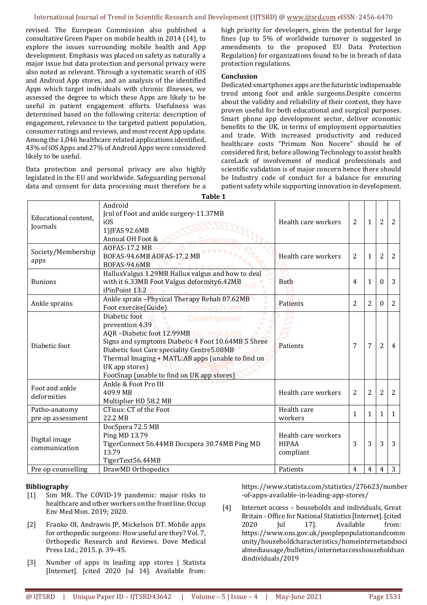revised. The European Commission also published a consultative Green Paper on mobile health in 2014 (14), to explore the issues surrounding mobile health and App development. Emphasis was placed on safety as naturally a major issue but data protection and personal privacy were also noted as relevant. Through a systematic search of iOS and Android App stores, and an analysis of the identified Apps which target individuals with chronic illnesses, we assessed the degree to which these Apps are likely to be useful in patient engagement efforts. Usefulness was determined based on the following criteria: description of engagement, relevance to the targeted patient population, consumer ratings and reviews, and most recent App update. Among the 1,046 healthcare related applications identified, 43% of iOS Apps and 27% of Android Apps were considered likely to be useful.

Data protection and personal privacy are also highly legislated in the EU and worldwide. Safeguarding personal data and consent for data processing must therefore be a

high priority for developers, given the potential for large fines (up to 5% of worldwide turnover is suggested in amendments to the proposed EU Data Protection Regulation) for organizations found to be in breach of data protection regulations.

# **Conclusion**

Dedicated smartphones apps are the futuristic indispensable trend among foot and ankle surgeons.Despite concerns about the validity and reliability of their content, they have proven useful for both educational and surgical purposes. Smart phone app development sector, deliver economic benefits to the UK, in terms of employment opportunities and trade. With increased productivity and reduced healthcare costs "Primum Non Nocere" should be of considered first, before allowing Technology to assist health careLack of involvement of medical professionals and scientific validation is of major concern hence there should be Industry code of conduct for a balance for ensuring patient safety while supporting innovation in development.

| Table 1                            |                                                                                                                                                                                                                                                                                                                       |                                                  |                |                |                |                |
|------------------------------------|-----------------------------------------------------------------------------------------------------------------------------------------------------------------------------------------------------------------------------------------------------------------------------------------------------------------------|--------------------------------------------------|----------------|----------------|----------------|----------------|
| Educational content.<br>Journals   | Android<br>Jrnl of Foot and ankle surgery-11.37MB<br>i0S<br>1) JFAS 92.6MB<br>Annual OH Foot &                                                                                                                                                                                                                        | Health care workers                              | 2              | $\mathbf{1}$   | $\overline{2}$ | 2              |
| Society/Membership<br>apps         | <b>AOFAS-17.2 MB</b><br>BOFAS-94.6MB AOFAS-17.2 MB<br>BOFAS-94.6MB                                                                                                                                                                                                                                                    | Health care workers                              | 2              | $\mathbf{1}$   | $\overline{2}$ | 2              |
| <b>Bunions</b>                     | HalluxValgus 1.29MB Hallux valgus and how to deal<br>with it 6.33MB Foot Valgus deformity6.42MB<br>iPinPoint 13.2                                                                                                                                                                                                     | <b>B</b> oth                                     | $\overline{4}$ | 1              | $\theta$       | 3              |
| Ankle sprains                      | Ankle sprain - Physical Therapy Rehab 87.62MB<br>Foot exercise(Guide)<br>Research and                                                                                                                                                                                                                                 | Patients                                         | $\overline{2}$ | 2              | $\theta$       | 2              |
| Diabetic foot                      | Diabetic foot<br>Development<br>prevention 4.39<br>AQR-Diabetic foot 12.99MB<br>1. 2456.6470<br>Signs and symptoms Diabetic 4 Foot 10.64MB 5 Shree<br>Diabetic foot Care speciality Centre5.08MB<br>Thermal Imaging + MATL:AB apps (unable to find on<br>UK app stores)<br>FootSnap (unable to find on UK app stores) | Patients                                         | 7              | $\overline{7}$ | $\overline{2}$ | $\overline{4}$ |
| Foot and ankle<br>deformities      | Ankle & Foot Pro III<br>409.9 MB<br>Multiplier HD 58.2 MB                                                                                                                                                                                                                                                             | Health care workers                              | 2              | 2              | $\overline{2}$ | $\overline{2}$ |
| Patho-anatomy<br>pre op assessment | <b>CTisus: CT of the Foot</b><br>22.2 MB                                                                                                                                                                                                                                                                              | Health care<br>workers                           | 1              | $\mathbf{1}$   | $\mathbf{1}$   | $\mathbf{1}$   |
| Digital image<br>communication     | DocSpera 72.5 MB<br>Ping MD 13.79<br>TigerConnect 56.44MB Docspera 30.74MB Ping MD<br>13.79<br>TigerText56.44MB                                                                                                                                                                                                       | Health care workers<br><b>HIPAA</b><br>compliant | 3              | 3              | 3              | 3              |
| Pre op counselling                 | DrawMD Orthopedics                                                                                                                                                                                                                                                                                                    | Patients                                         | $\overline{4}$ | $\overline{4}$ | $\overline{4}$ | 3              |

# **Bibliography**

- [1] Sim MR. The COVID-19 pandemic: major risks to healthcare and other workers on the front line. Occup Env Med Mon. 2019; 2020.
- [2] Franko OI, Andrawis JP, Mickelson DT. Mobile apps for orthopedic surgeons: How useful are they? Vol. 7, Orthopedic Research and Reviews. Dove Medical Press Ltd.; 2015. p. 39–45.
- [3] Number of apps in leading app stores | Statista [Internet]. [cited 2020 Jul 14]. Available from:

https://www.statista.com/statistics/276623/number -of-apps-available-in-leading-app-stores/

[4] Internet access – households and individuals, Great Britain - Office for National Statistics [Internet]. [cited 2020 Jul 17]. Available from: https://www.ons.gov.uk/peoplepopulationandcomm unity/householdcharacteristics/homeinternetandsoci almediausage/bulletins/internetaccesshouseholdsan dindividuals/2019